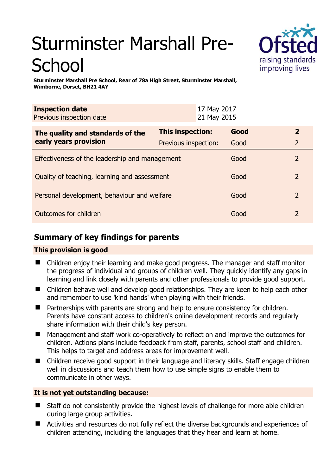# Sturminster Marshall Pre-**School**



**Sturminster Marshall Pre School, Rear of 78a High Street, Sturminster Marshall, Wimborne, Dorset, BH21 4AY** 

| <b>Inspection date</b><br>Previous inspection date |                      | 17 May 2017<br>21 May 2015 |                |  |
|----------------------------------------------------|----------------------|----------------------------|----------------|--|
| The quality and standards of the                   | This inspection:     | Good                       | $\overline{2}$ |  |
| early years provision                              | Previous inspection: | Good                       | 2              |  |
| Effectiveness of the leadership and management     |                      | Good                       | $\mathcal{L}$  |  |
| Quality of teaching, learning and assessment       |                      |                            | $\overline{2}$ |  |
| Personal development, behaviour and welfare        |                      |                            | 2              |  |
| Outcomes for children                              |                      |                            | 2              |  |

# **Summary of key findings for parents**

## **This provision is good**

- Children enjoy their learning and make good progress. The manager and staff monitor the progress of individual and groups of children well. They quickly identify any gaps in learning and link closely with parents and other professionals to provide good support.
- Children behave well and develop good relationships. They are keen to help each other and remember to use 'kind hands' when playing with their friends.
- Partnerships with parents are strong and help to ensure consistency for children. Parents have constant access to children's online development records and regularly share information with their child's key person.
- Management and staff work co-operatively to reflect on and improve the outcomes for children. Actions plans include feedback from staff, parents, school staff and children. This helps to target and address areas for improvement well.
- Children receive good support in their language and literacy skills. Staff engage children well in discussions and teach them how to use simple signs to enable them to communicate in other ways.

## **It is not yet outstanding because:**

- Staff do not consistently provide the highest levels of challenge for more able children during large group activities.
- Activities and resources do not fully reflect the diverse backgrounds and experiences of children attending, including the languages that they hear and learn at home.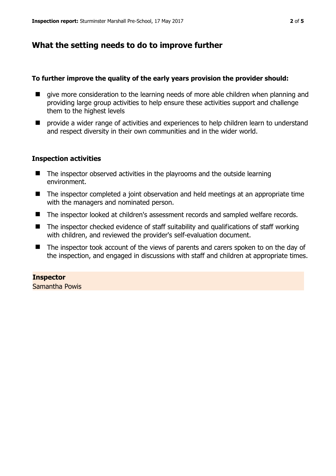## **What the setting needs to do to improve further**

#### **To further improve the quality of the early years provision the provider should:**

- $\blacksquare$  give more consideration to the learning needs of more able children when planning and providing large group activities to help ensure these activities support and challenge them to the highest levels
- $\blacksquare$  provide a wider range of activities and experiences to help children learn to understand and respect diversity in their own communities and in the wider world.

## **Inspection activities**

- The inspector observed activities in the playrooms and the outside learning environment.
- The inspector completed a joint observation and held meetings at an appropriate time with the managers and nominated person.
- The inspector looked at children's assessment records and sampled welfare records.
- The inspector checked evidence of staff suitability and qualifications of staff working with children, and reviewed the provider's self-evaluation document.
- The inspector took account of the views of parents and carers spoken to on the day of the inspection, and engaged in discussions with staff and children at appropriate times.

## **Inspector**

Samantha Powis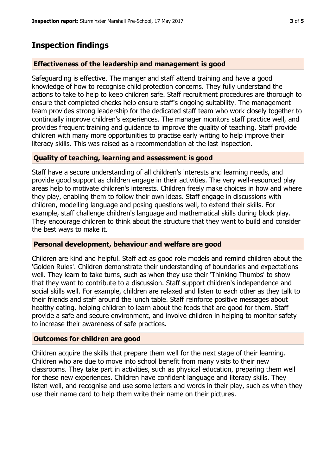## **Inspection findings**

## **Effectiveness of the leadership and management is good**

Safeguarding is effective. The manger and staff attend training and have a good knowledge of how to recognise child protection concerns. They fully understand the actions to take to help to keep children safe. Staff recruitment procedures are thorough to ensure that completed checks help ensure staff's ongoing suitability. The management team provides strong leadership for the dedicated staff team who work closely together to continually improve children's experiences. The manager monitors staff practice well, and provides frequent training and guidance to improve the quality of teaching. Staff provide children with many more opportunities to practise early writing to help improve their literacy skills. This was raised as a recommendation at the last inspection.

## **Quality of teaching, learning and assessment is good**

Staff have a secure understanding of all children's interests and learning needs, and provide good support as children engage in their activities. The very well-resourced play areas help to motivate children's interests. Children freely make choices in how and where they play, enabling them to follow their own ideas. Staff engage in discussions with children, modelling language and posing questions well, to extend their skills. For example, staff challenge children's language and mathematical skills during block play. They encourage children to think about the structure that they want to build and consider the best ways to make it.

## **Personal development, behaviour and welfare are good**

Children are kind and helpful. Staff act as good role models and remind children about the 'Golden Rules'. Children demonstrate their understanding of boundaries and expectations well. They learn to take turns, such as when they use their 'Thinking Thumbs' to show that they want to contribute to a discussion. Staff support children's independence and social skills well. For example, children are relaxed and listen to each other as they talk to their friends and staff around the lunch table. Staff reinforce positive messages about healthy eating, helping children to learn about the foods that are good for them. Staff provide a safe and secure environment, and involve children in helping to monitor safety to increase their awareness of safe practices.

## **Outcomes for children are good**

Children acquire the skills that prepare them well for the next stage of their learning. Children who are due to move into school benefit from many visits to their new classrooms. They take part in activities, such as physical education, preparing them well for these new experiences. Children have confident language and literacy skills. They listen well, and recognise and use some letters and words in their play, such as when they use their name card to help them write their name on their pictures.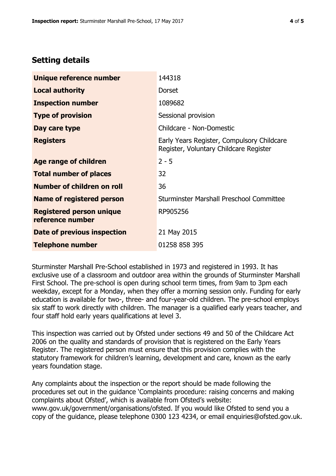# **Setting details**

| Unique reference number                             | 144318                                                                               |  |
|-----------------------------------------------------|--------------------------------------------------------------------------------------|--|
| <b>Local authority</b>                              | <b>Dorset</b>                                                                        |  |
| <b>Inspection number</b>                            | 1089682                                                                              |  |
| <b>Type of provision</b>                            | Sessional provision                                                                  |  |
| Day care type                                       | Childcare - Non-Domestic                                                             |  |
| <b>Registers</b>                                    | Early Years Register, Compulsory Childcare<br>Register, Voluntary Childcare Register |  |
| Age range of children                               | $2 - 5$                                                                              |  |
| <b>Total number of places</b>                       | 32                                                                                   |  |
| Number of children on roll                          | 36                                                                                   |  |
| Name of registered person                           | Sturminster Marshall Preschool Committee                                             |  |
| <b>Registered person unique</b><br>reference number | RP905256                                                                             |  |
| <b>Date of previous inspection</b>                  | 21 May 2015                                                                          |  |
| <b>Telephone number</b>                             | 01258 858 395                                                                        |  |

Sturminster Marshall Pre-School established in 1973 and registered in 1993. It has exclusive use of a classroom and outdoor area within the grounds of Sturminster Marshall First School. The pre-school is open during school term times, from 9am to 3pm each weekday, except for a Monday, when they offer a morning session only. Funding for early education is available for two-, three- and four-year-old children. The pre-school employs six staff to work directly with children. The manager is a qualified early years teacher, and four staff hold early years qualifications at level 3.

This inspection was carried out by Ofsted under sections 49 and 50 of the Childcare Act 2006 on the quality and standards of provision that is registered on the Early Years Register. The registered person must ensure that this provision complies with the statutory framework for children's learning, development and care, known as the early years foundation stage.

Any complaints about the inspection or the report should be made following the procedures set out in the guidance 'Complaints procedure: raising concerns and making complaints about Ofsted', which is available from Ofsted's website: www.gov.uk/government/organisations/ofsted. If you would like Ofsted to send you a copy of the guidance, please telephone 0300 123 4234, or email enquiries@ofsted.gov.uk.